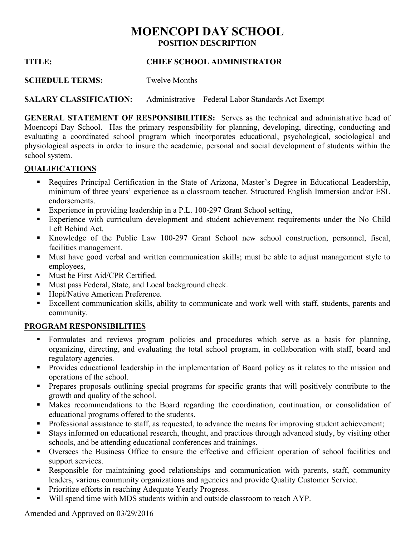# **MOENCOPI DAY SCHOOL POSITION DESCRIPTION**

# **TITLE: CHIEF SCHOOL ADMINISTRATOR**

**SCHEDULE TERMS:** Twelve Months

**SALARY CLASSIFICATION:** Administrative – Federal Labor Standards Act Exempt

**GENERAL STATEMENT OF RESPONSIBILITIES:** Serves as the technical and administrative head of Moencopi Day School. Has the primary responsibility for planning, developing, directing, conducting and evaluating a coordinated school program which incorporates educational, psychological, sociological and physiological aspects in order to insure the academic, personal and social development of students within the school system.

# **QUALIFICATIONS**

- Requires Principal Certification in the State of Arizona, Master's Degree in Educational Leadership, minimum of three years' experience as a classroom teacher. Structured English Immersion and/or ESL endorsements.
- Experience in providing leadership in a P.L. 100-297 Grant School setting,
- **Experience with curriculum development and student achievement requirements under the No Child** Left Behind Act.
- Knowledge of the Public Law 100-297 Grant School new school construction, personnel, fiscal, facilities management.
- Must have good verbal and written communication skills; must be able to adjust management style to employees,
- Must be First Aid/CPR Certified.
- Must pass Federal, State, and Local background check.
- Hopi/Native American Preference.
- Excellent communication skills, ability to communicate and work well with staff, students, parents and community.

#### **PROGRAM RESPONSIBILITIES**

- Formulates and reviews program policies and procedures which serve as a basis for planning, organizing, directing, and evaluating the total school program, in collaboration with staff, board and regulatory agencies.
- Provides educational leadership in the implementation of Board policy as it relates to the mission and operations of the school.
- Prepares proposals outlining special programs for specific grants that will positively contribute to the growth and quality of the school.
- Makes recommendations to the Board regarding the coordination, continuation, or consolidation of educational programs offered to the students.
- Professional assistance to staff, as requested, to advance the means for improving student achievement;
- Stays informed on educational research, thought, and practices through advanced study, by visiting other schools, and be attending educational conferences and trainings.
- Oversees the Business Office to ensure the effective and efficient operation of school facilities and support services.
- Responsible for maintaining good relationships and communication with parents, staff, community leaders, various community organizations and agencies and provide Quality Customer Service.
- **Prioritize efforts in reaching Adequate Yearly Progress.**
- Will spend time with MDS students within and outside classroom to reach AYP.

Amended and Approved on 03/29/2016